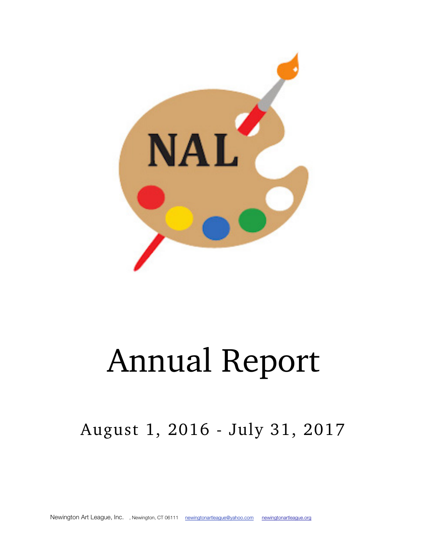

# Annual Report

# August 1, 2016 - July 31, 2017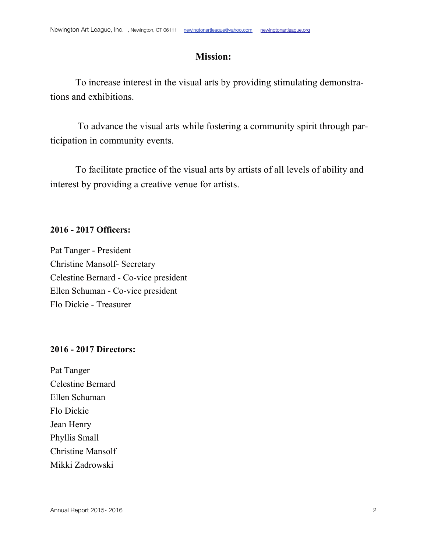### **Mission:**

To increase interest in the visual arts by providing stimulating demonstrations and exhibitions.

To advance the visual arts while fostering a community spirit through participation in community events.

To facilitate practice of the visual arts by artists of all levels of ability and interest by providing a creative venue for artists.

#### **2016 - 2017 Officers:**

Pat Tanger - President Christine Mansolf- Secretary Celestine Bernard - Co-vice president Ellen Schuman - Co-vice president Flo Dickie - Treasurer

#### **2016 - 2017 Directors:**

Pat Tanger Celestine Bernard Ellen Schuman Flo Dickie Jean Henry Phyllis Small Christine Mansolf Mikki Zadrowski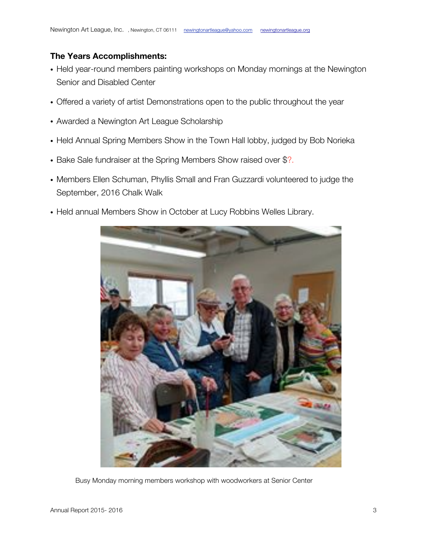#### **The Years Accomplishments:**

- Held year-round members painting workshops on Monday mornings at the Newington Senior and Disabled Center
- Offered a variety of artist Demonstrations open to the public throughout the year
- Awarded a Newington Art League Scholarship
- Held Annual Spring Members Show in the Town Hall lobby, judged by Bob Norieka
- Bake Sale fundraiser at the Spring Members Show raised over \$?.
- Members Ellen Schuman, Phyllis Small and Fran Guzzardi volunteered to judge the September, 2016 Chalk Walk
- Held annual Members Show in October at Lucy Robbins Welles Library.



Busy Monday morning members workshop with woodworkers at Senior Center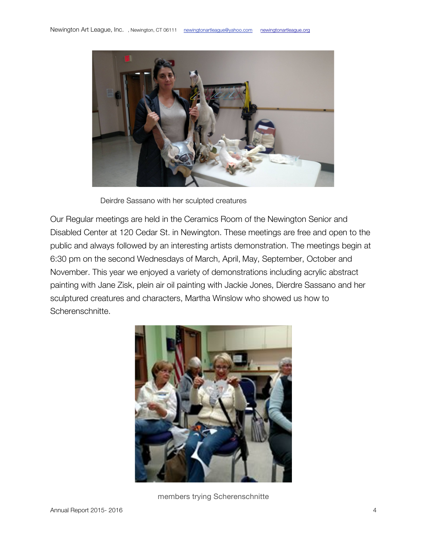

Deirdre Sassano with her sculpted creatures

Our Regular meetings are held in the Ceramics Room of the Newington Senior and Disabled Center at 120 Cedar St. in Newington. These meetings are free and open to the public and always followed by an interesting artists demonstration. The meetings begin at 6:30 pm on the second Wednesdays of March, April, May, September, October and November. This year we enjoyed a variety of demonstrations including acrylic abstract painting with Jane Zisk, plein air oil painting with Jackie Jones, Dierdre Sassano and her sculptured creatures and characters, Martha Winslow who showed us how to Scherenschnitte.



members trying Scherenschnitte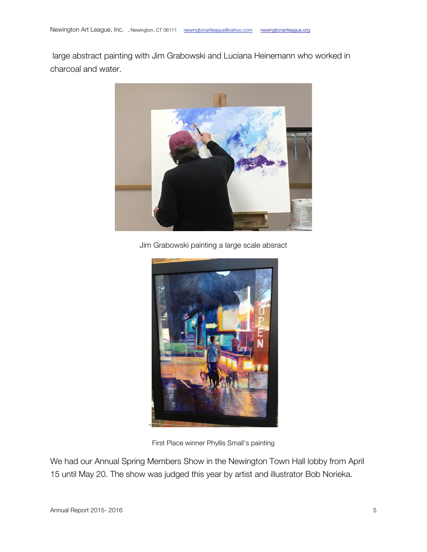large abstract painting with Jim Grabowski and Luciana Heinemann who worked in charcoal and water.



Jim Grabowski painting a large scale absract



First Place winner Phyllis Small's painting

We had our Annual Spring Members Show in the Newington Town Hall lobby from April 15 until May 20. The show was judged this year by artist and illustrator Bob Norieka.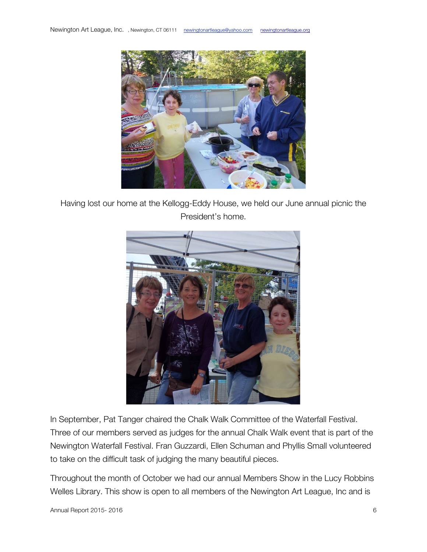

Having lost our home at the Kellogg-Eddy House, we held our June annual picnic the President's home.



In September, Pat Tanger chaired the Chalk Walk Committee of the Waterfall Festival. Three of our members served as judges for the annual Chalk Walk event that is part of the Newington Waterfall Festival. Fran Guzzardi, Ellen Schuman and Phyllis Small volunteered to take on the difficult task of judging the many beautiful pieces.

Throughout the month of October we had our annual Members Show in the Lucy Robbins Welles Library. This show is open to all members of the Newington Art League, Inc and is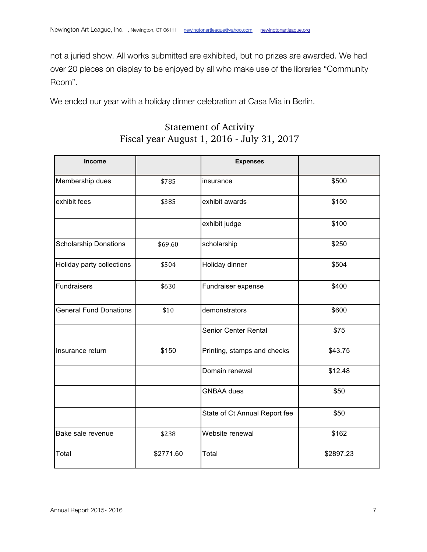not a juried show. All works submitted are exhibited, but no prizes are awarded. We had over 20 pieces on display to be enjoyed by all who make use of the libraries "Community Room".

We ended our year with a holiday dinner celebration at Casa Mia in Berlin.

# Statement of Activity Fiscal year August 1, 2016 - July 31, 2017

| <b>Income</b>                 |           | <b>Expenses</b>               |           |
|-------------------------------|-----------|-------------------------------|-----------|
| Membership dues               | \$785     | insurance                     | \$500     |
| exhibit fees                  | \$385     | exhibit awards                | \$150     |
|                               |           | exhibit judge                 | \$100     |
| <b>Scholarship Donations</b>  | \$69.60   | scholarship                   | \$250     |
| Holiday party collections     | \$504     | Holiday dinner                | \$504     |
| Fundraisers                   | \$630     | Fundraiser expense            | \$400     |
| <b>General Fund Donations</b> | \$10      | demonstrators                 | \$600     |
|                               |           | <b>Senior Center Rental</b>   | \$75      |
| Insurance return              | \$150     | Printing, stamps and checks   | \$43.75   |
|                               |           | Domain renewal                | \$12.48   |
|                               |           | <b>GNBAA</b> dues             | \$50      |
|                               |           | State of Ct Annual Report fee | \$50      |
| Bake sale revenue             | \$238     | Website renewal               | \$162     |
| Total                         | \$2771.60 | Total                         | \$2897.23 |